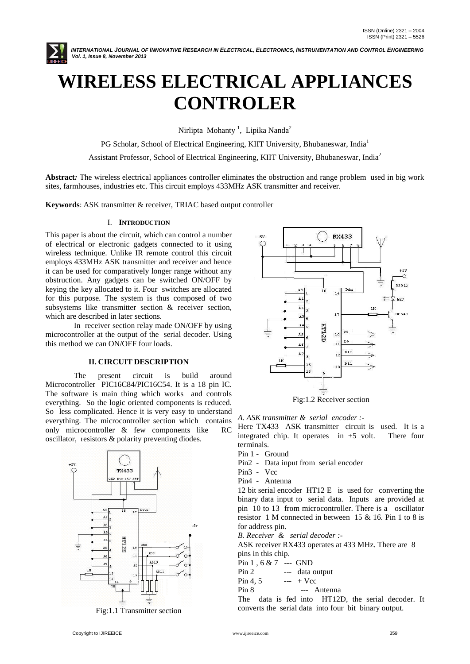

INTERNATIONAL JOURNAL OF INNOVATIVE RESEARCH IN ELECTRICAL, ELECTRONICS, INSTRUMENTATION AND CONTROL ENGINEERING *Vol. 1, Issue 8, November 2013*

# **WIRELESS ELECTRICAL APPLIANCES CONTROLER**

Nirlipta Mohanty<sup>1</sup>, Lipika Nanda<sup>2</sup>

PG Scholar, School of Electrical Engineering, KIIT University, Bhubaneswar, India<sup>1</sup>

Assistant Professor, School of Electrical Engineering, KIIT University, Bhubaneswar, India<sup>2</sup>

**Abstract***:* The wireless electrical appliances controller eliminates the obstruction and range problem used in big work sites, farmhouses, industries etc. This circuit employs 433MHz ASK transmitter and receiver.

**Keywords**: ASK transmitter & receiver, TRIAC based output controller

#### I. **INTRODUCTION**

This paper is about the circuit, which can control a number of electrical or electronic gadgets connected to it using wireless technique. Unlike IR remote control this circuit employs 433MHz ASK transmitter and receiver and hence it can be used for comparatively longer range without any obstruction. Any gadgets can be switched ON/OFF by keying the key allocated to it. Four switches are allocated for this purpose. The system is thus composed of two subsystems like transmitter section & receiver section, which are described in later sections.

In receiver section relay made ON/OFF by using microcontroller at the output of the serial decoder. Using this method we can ON/OFF four loads.

#### **II. CIRCUIT DESCRIPTION**

The present circuit is build around Microcontroller PIC16C84/PIC16C54. It is a 18 pin IC. The software is main thing which works and controls everything. So the logic oriented components is reduced. So less complicated. Hence it is very easy to understand everything. The microcontroller section which contains only microcontroller & few components like RC oscillator, resistors & polarity preventing diodes.



Fig:1.1 Transmitter section



*A. ASK transmitter & serial encoder :-*

Here TX433 ASK transmitter circuit is used. It is a integrated chip. It operates in +5 volt. There four terminals.

- Pin 1 Ground
- Pin2 Data input from serial encoder
- Pin3 Vcc
- Pin4 Antenna

12 bit serial encoder HT12 E is used for converting the binary data input to serial data. Inputs are provided at pin 10 to 13 from microcontroller. There is a oscillator resistor 1 M connected in between 15 & 16. Pin 1 to 8 is for address pin.

*B. Receiver & serial decoder :-*

ASK receiver RX433 operates at 433 MHz. There are 8 pins in this chip.

Pin 1 , 6 & 7 --- GND

Pin 2 --- data output

Pin 4, 5  $-+$  Ycc

Pin 8 --- Antenna

The data is fed into HT12D, the serial decoder. It converts the serial data into four bit binary output.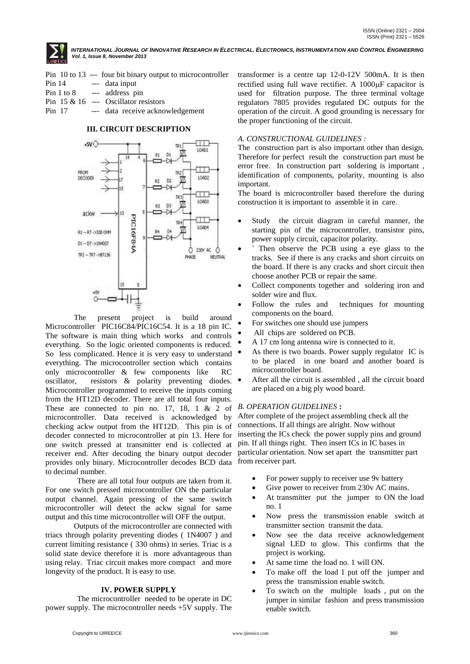

INTERNATIONAL JOURNAL OF INNOVATIVE RESEARCH IN ELECTRICAL, ELECTRONICS, INSTRUMENTATION AND CONTROL ENGINEERING *Vol. 1, Issue 8, November 2013*

- Pin 10 to 13 --- four bit binary output to microcontroller
- Pin 14 --- data input
- Pin 1 to 8 --- address pin Pin 15 & 16 --- Oscillator resistors
- Pin 17 --- data receive acknowledgement

# **III. CIRCUIT DESCRIPTION**



The present project is build around Microcontroller PIC16C84/PIC16C54. It is a 18 pin IC. The software is main thing which works and controls everything. So the logic oriented components is reduced. So less complicated. Hence it is very easy to understand everything. The microcontroller section which contains only microcontroller & few components like RC oscillator, resistors & polarity preventing diodes. Microcontroller programmed to receive the inputs coming from the HT12D decoder. There are all total four inputs. These are connected to pin no. 17, 18, 1 & 2 of microcontroller. Data received is acknowledged by checking ackw output from the HT12D. This pin is of decoder connected to microcontroller at pin 13. Here for one switch pressed at transmitter end is collected at receiver end. After decoding the binary output decoder provides only binary. Microcontroller decodes BCD data from receiver part. to decimal number.

 There are all total four outputs are taken from it. For one switch pressed microcontroller ON the particular output channel. Again pressing of the same switch microcontroller will detect the ackw signal for same output and this time microcontroller will OFF the output.

Outputs of the microcontroller are connected with triacs through polarity preventing diodes ( 1N4007 ) and current limiting resistance ( 330 ohms) in series. Triac is a solid state device therefore it is more advantageous than using relay. Triac circuit makes more compact and more longevity of the product. It is easy to use.

#### **IV. POWER SUPPLY**

 The microcontroller needed to be operate in DC power supply. The microcontroller needs +5V supply. The

transformer is a centre tap 12-0-12V 500mA. It is then rectified using full wave rectifier. A 1000uF capacitor is used for filtration purpose. The three terminal voltage regulators 7805 provides regulated DC outputs for the operation of the circuit. A good grounding is necessary for the proper functioning of the circuit.

## *A. CONSTRUCTIONAL GUIDELINES :*

The construction part is also important other than design. Therefore for perfect result the construction part must be error free. In construction part soldering is important , identification of components, polarity, mounting is also important.

The board is microcontroller based therefore the during construction it is important to assemble it in care.

- Study the circuit diagram in careful manner, the starting pin of the microcontroller, transistor pins, power supply circuit, capacitor polarity.
- Then observe the PCB using a eye glass to the tracks. See if there is any cracks and short circuits on the board. If there is any cracks and short circuit then choose another PCB or repair the same.
- Collect components together and soldering iron and solder wire and flux.
- Follow the rules and techniques for mounting components on the board.
- For switches one should use jumpers
- All chips are soldered on PCB.
- A 17 cm long antenna wire is connected to it.
- As there is two boards. Power supply regulator IC is to be placed in one board and another board is microcontroller board.
- After all the circuit is assembled , all the circuit board are placed on a big ply wood board.

#### *B. OPERATION GUIDELINES* **:**

After complete of the project assembling check all the connections. If all things are alright. Now without inserting the ICs check the power supply pins and ground pin. If all things right. Then insert ICs in IC bases in particular orientation. Now set apart the transmitter part

- For power supply to receiver use 9v battery
- Give power to receiver from 230v AC mains.
- At transmitter put the jumper to ON the load no. 1
- Now press the transmission enable switch at transmitter section transmit the data.
- Now see the data receive acknowledgement signal LED to glow. This confirms that the project is working.
- At same time the load no. 1 will ON.
- To make off the load 1 put off the jumper and press the transmission enable switch.
- To switch on the multiple loads , put on the jumper in similar fashion and press transmission enable switch.